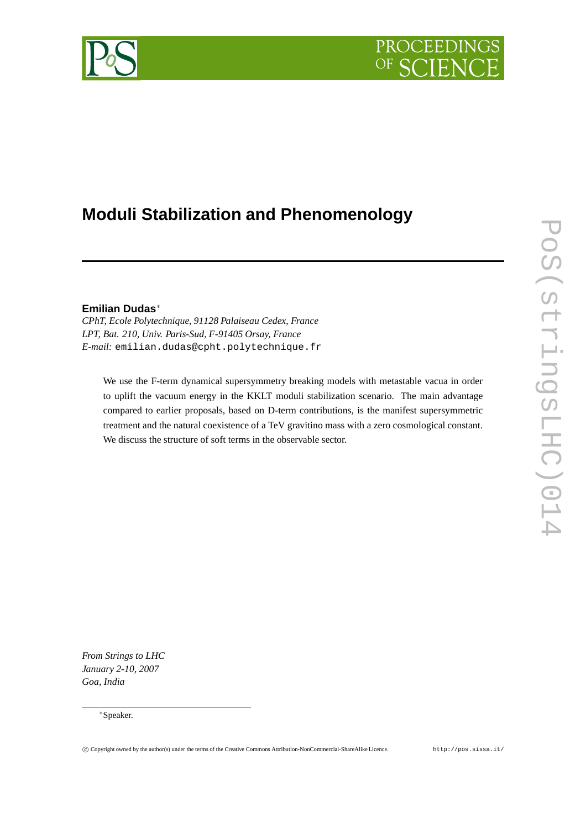# **PROCEEDING**



## **Moduli Stabilization and Phenomenology**

### **Emilian Dudas**<sup>∗</sup>

*CPhT, Ecole Polytechnique, 91128 Palaiseau Cedex, France LPT, Bat. 210, Univ. Paris-Sud, F-91405 Orsay, France E-mail:* emilian.dudas@cpht.polytechnique.fr

We use the F-term dynamical supersymmetry breaking models with metastable vacua in order to uplift the vacuum energy in the KKLT moduli stabilization scenario. The main advantage compared to earlier proposals, based on D-term contributions, is the manifest supersymmetric treatment and the natural coexistence of a TeV gravitino mass with a zero cosmological constant. We discuss the structure of soft terms in the observable sector.

POS(CITINGSLHC) S14 PoS(stringsLHC)014

*From Strings to LHC January 2-10, 2007 Goa, India*

<sup>∗</sup>Speaker.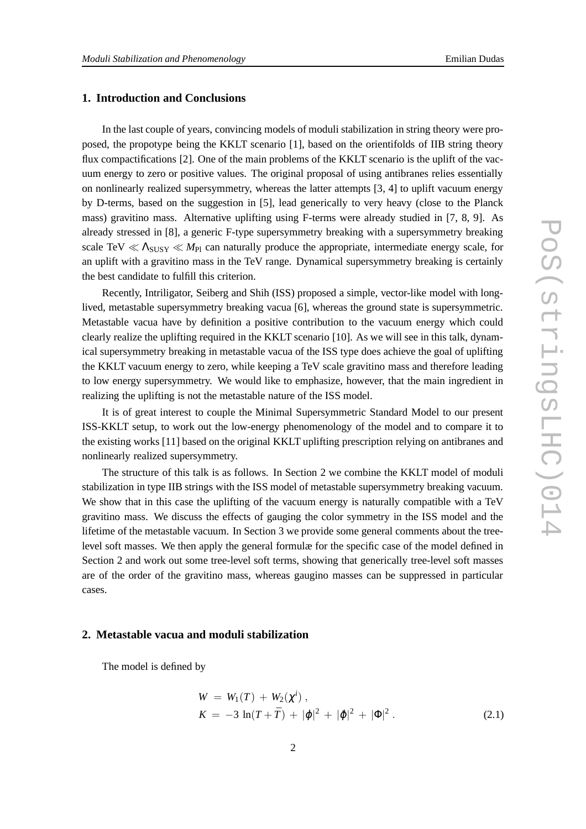### **1. Introduction and Conclusions**

In the last couple of years, convincing models of moduli stabilization in string theory were proposed, the propotype being the KKLT scenario [1], based on the orientifolds of IIB string theory flux compactifications [2]. One of the main problems of the KKLT scenario is the uplift of the vacuum energy to zero or positive values. The original proposal of using antibranes relies essentially on nonlinearly realized supersymmetry, whereas the latter attempts [3, 4] to uplift vacuum energy by D-terms, based on the suggestion in [5], lead generically to very heavy (close to the Planck mass) gravitino mass. Alternative uplifting using F-terms were already studied in [7, 8, 9]. As already stressed in [8], a generic F-type supersymmetry breaking with a supersymmetry breaking scale TeV  $\ll \Lambda_{SUSY} \ll M_{Pl}$  can naturally produce the appropriate, intermediate energy scale, for an uplift with a gravitino mass in the TeV range. Dynamical supersymmetry breaking is certainly the best candidate to fulfill this criterion.

Recently, Intriligator, Seiberg and Shih (ISS) proposed a simple, vector-like model with longlived, metastable supersymmetry breaking vacua [6], whereas the ground state is supersymmetric. Metastable vacua have by definition a positive contribution to the vacuum energy which could clearly realize the uplifting required in the KKLT scenario [10]. As we will see in this talk, dynamical supersymmetry breaking in metastable vacua of the ISS type does achieve the goal of uplifting the KKLT vacuum energy to zero, while keeping a TeV scale gravitino mass and therefore leading to low energy supersymmetry. We would like to emphasize, however, that the main ingredient in realizing the uplifting is not the metastable nature of the ISS model.

It is of great interest to couple the Minimal Supersymmetric Standard Model to our present ISS-KKLT setup, to work out the low-energy phenomenology of the model and to compare it to the existing works [11] based on the original KKLT uplifting prescription relying on antibranes and nonlinearly realized supersymmetry.

The structure of this talk is as follows. In Section 2 we combine the KKLT model of moduli stabilization in type IIB strings with the ISS model of metastable supersymmetry breaking vacuum. We show that in this case the uplifting of the vacuum energy is naturally compatible with a TeV gravitino mass. We discuss the effects of gauging the color symmetry in the ISS model and the lifetime of the metastable vacuum. In Section 3 we provide some general comments about the treelevel soft masses. We then apply the general formulæ for the specific case of the model defined in Section 2 and work out some tree-level soft terms, showing that generically tree-level soft masses are of the order of the gravitino mass, whereas gaugino masses can be suppressed in particular cases.

### **2. Metastable vacua and moduli stabilization**

The model is defined by

$$
W = W_1(T) + W_2(\chi^{i}),
$$
  
\n
$$
K = -3 \ln(T + \bar{T}) + |\varphi|^2 + |\tilde{\varphi}|^2 + |\Phi|^2.
$$
\n(2.1)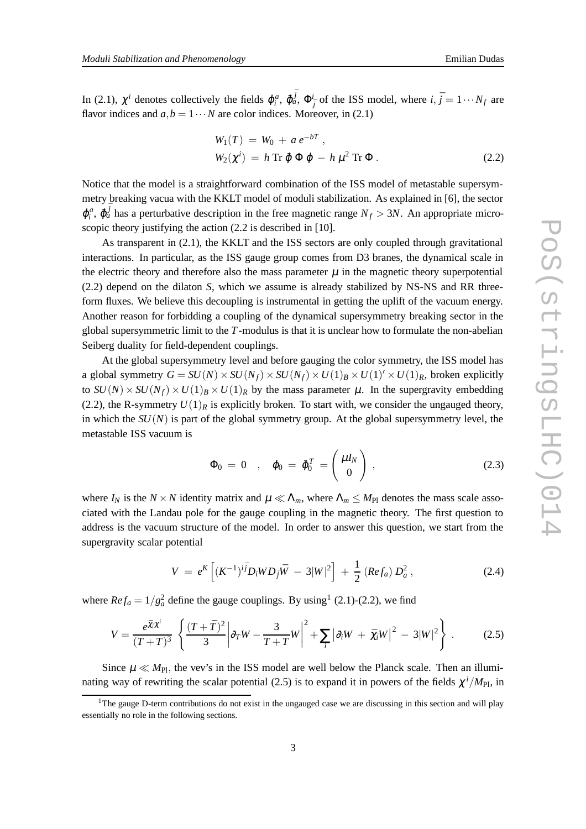In (2.1),  $\chi^i$  denotes collectively the fields  $\varphi_i^a$ ,  $\tilde{\varphi}_a^{\bar{j}}$ ,  $\Phi^i_{\bar{j}}$  of the ISS model, where  $i, \bar{j} = 1 \cdots N_f$  are flavor indices and  $a, b = 1 \cdots N$  are color indices. Moreover, in (2.1)

$$
W_1(T) = W_0 + a e^{-bT},
$$
  
\n
$$
W_2(\chi^i) = h \operatorname{Tr} \tilde{\varphi} \Phi \varphi - h \mu^2 \operatorname{Tr} \Phi.
$$
\n(2.2)

Notice that the model is a straightforward combination of the ISS model of metastable supersymmetry breaking vacua with the KKLT model of moduli stabilization. As explained in [6], the sector  $\varphi_i^a$ ,  $\tilde{\varphi}_a^{\bar{j}}$  has a perturbative description in the free magnetic range  $N_f > 3N$ . An appropriate microscopic theory justifying the action  $(2.2$  is described in [10].

As transparent in (2.1), the KKLT and the ISS sectors are only coupled through gravitational interactions. In particular, as the ISS gauge group comes from D3 branes, the dynamical scale in the electric theory and therefore also the mass parameter  $\mu$  in the magnetic theory superpotential (2.2) depend on the dilaton *S*, which we assume is already stabilized by NS-NS and RR threeform fluxes. We believe this decoupling is instrumental in getting the uplift of the vacuum energy. Another reason for forbidding a coupling of the dynamical supersymmetry breaking sector in the global supersymmetric limit to the *T*-modulus is that it is unclear how to formulate the non-abelian Seiberg duality for field-dependent couplings.

At the global supersymmetry level and before gauging the color symmetry, the ISS model has a global symmetry  $G = SU(N) \times SU(N_f) \times SU(N_f) \times U(1)_B \times U(1)' \times U(1)_R$ , broken explicitly to  $SU(N) \times SU(N_f) \times U(1)_B \times U(1)_R$  by the mass parameter  $\mu$ . In the supergravity embedding (2.2), the R-symmetry  $U(1)_R$  is explicitly broken. To start with, we consider the ungauged theory, in which the  $SU(N)$  is part of the global symmetry group. At the global supersymmetry level, the metastable ISS vacuum is

$$
\Phi_0 = 0 \quad , \quad \varphi_0 = \tilde{\varphi}_0^T = \begin{pmatrix} \mu I_N \\ 0 \end{pmatrix} , \tag{2.3}
$$

where  $I_N$  is the  $N \times N$  identity matrix and  $\mu \ll \Lambda_m$ , where  $\Lambda_m \leq M_{\rm Pl}$  denotes the mass scale associated with the Landau pole for the gauge coupling in the magnetic theory. The first question to address is the vacuum structure of the model. In order to answer this question, we start from the supergravity scalar potential

$$
V = e^{K} \left[ (K^{-1})^{i\bar{j}} D_{i} W D_{\bar{j}} \bar{W} - 3|W|^{2} \right] + \frac{1}{2} \left( Re f_{a} \right) D_{a}^{2}, \qquad (2.4)
$$

where  $Re f_a = 1/g_a^2$  define the gauge couplings. By using<sup>1</sup> (2.1)-(2.2), we find

$$
V = \frac{e^{\bar{\chi}_i \chi^i}}{(T+\bar{T})^3} \left\{ \frac{(T+\bar{T})^2}{3} \left| \partial_T W - \frac{3}{T+\bar{T}} W \right|^2 + \sum_i \left| \partial_i W + \bar{\chi}_i W \right|^2 - 3|W|^2 \right\} \,. \tag{2.5}
$$

Since  $\mu \ll M_{\text{Pl}}$ , the vev's in the ISS model are well below the Planck scale. Then an illuminating way of rewriting the scalar potential (2.5) is to expand it in powers of the fields  $\chi^i/M_{\text{Pl}}$ , in

 $1$ The gauge D-term contributions do not exist in the ungauged case we are discussing in this section and will play essentially no role in the following sections.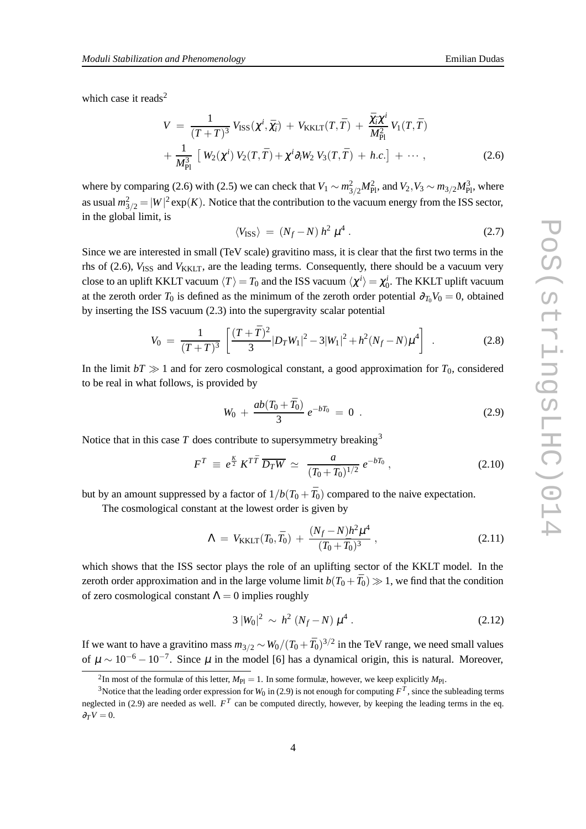which case it reads $2$ 

$$
V = \frac{1}{(T+\bar{T})^3} V_{\text{ISS}}(\chi^i, \bar{\chi}_i) + V_{\text{KKLT}}(T, \bar{T}) + \frac{\bar{\chi}_i \chi^i}{M_{\text{Pl}}^2} V_1(T, \bar{T}) + \frac{1}{M_{\text{Pl}}^3} \left[ W_2(\chi^i) V_2(T, \bar{T}) + \chi^i \partial_i W_2 V_3(T, \bar{T}) + h.c. \right] + \cdots , \qquad (2.6)
$$

where by comparing (2.6) with (2.5) we can check that  $V_1 \sim m_{3/2}^2 M_{\text{Pl}}^2$ , and  $V_2$ ,  $V_3 \sim m_{3/2} M_{\text{Pl}}^3$ , where as usual  $m_{3/2}^2 = |W|^2 \exp(K)$ . Notice that the contribution to the vacuum energy from the ISS sector, in the global limit, is

$$
\langle V_{\rm ISS} \rangle \ = \ (N_f - N) \ h^2 \ \mu^4 \ . \tag{2.7}
$$

Since we are interested in small (TeV scale) gravitino mass, it is clear that the first two terms in the rhs of (2.6),  $V_{ISS}$  and  $V_{KKLT}$ , are the leading terms. Consequently, there should be a vacuum very close to an uplift KKLT vacuum  $\langle T\rangle = T_0$  and the ISS vacuum  $\langle\chi^i\rangle=\chi^i_0$ . The KKLT uplift vacuum at the zeroth order  $T_0$  is defined as the minimum of the zeroth order potential  $\partial_{T_0} V_0 = 0$ , obtained by inserting the ISS vacuum (2.3) into the supergravity scalar potential

$$
V_0 = \frac{1}{(T+\bar{T})^3} \left[ \frac{(T+\bar{T})^2}{3} |D_T W_1|^2 - 3|W_1|^2 + h^2 (N_f - N) \mu^4 \right] \quad . \tag{2.8}
$$

In the limit  $bT \gg 1$  and for zero cosmological constant, a good approximation for  $T_0$ , considered to be real in what follows, is provided by

$$
W_0 + \frac{ab(T_0 + \bar{T}_0)}{3} e^{-bT_0} = 0.
$$
 (2.9)

Notice that in this case  $T$  does contribute to supersymmetry breaking<sup>3</sup>

$$
F^T \equiv e^{\frac{K}{2}} K^{T\bar{T}} \overline{D_T W} \simeq \frac{a}{(T_0 + \bar{T}_0)^{1/2}} e^{-bT_0}, \qquad (2.10)
$$

but by an amount suppressed by a factor of  $1/b(T_0 + \bar{T}_0)$  compared to the naive expectation.

The cosmological constant at the lowest order is given by

$$
\Lambda \ = \ V_{\text{KKLT}}(T_0, \bar{T}_0) \ + \ \frac{(N_f - N)h^2 \mu^4}{(T_0 + \bar{T}_0)^3} \,, \tag{2.11}
$$

which shows that the ISS sector plays the role of an uplifting sector of the KKLT model. In the zeroth order approximation and in the large volume limit  $b(T_0 + \bar{T}_0) \gg 1$ , we find that the condition of zero cosmological constant  $\Lambda = 0$  implies roughly

$$
3\,|W_0|^2\,\sim\,h^2\,(N_f-N)\,\mu^4\,.\tag{2.12}
$$

If we want to have a gravitino mass  $m_{3/2} \sim W_0 / (T_0 + \bar{T}_0)^{3/2}$  in the TeV range, we need small values of  $\mu \sim 10^{-6} - 10^{-7}$ . Since  $\mu$  in the model [6] has a dynamical origin, this is natural. Moreover,

<sup>&</sup>lt;sup>2</sup>In most of the formulæ of this letter,  $M_{\text{Pl}} = 1$ . In some formulæ, however, we keep explicitly  $M_{\text{Pl}}$ .

<sup>&</sup>lt;sup>3</sup>Notice that the leading order expression for  $W_0$  in (2.9) is not enough for computing  $F^T$ , since the subleading terms neglected in (2.9) are needed as well.  $F<sup>T</sup>$  can be computed directly, however, by keeping the leading terms in the eq.  $\partial_T V = 0.$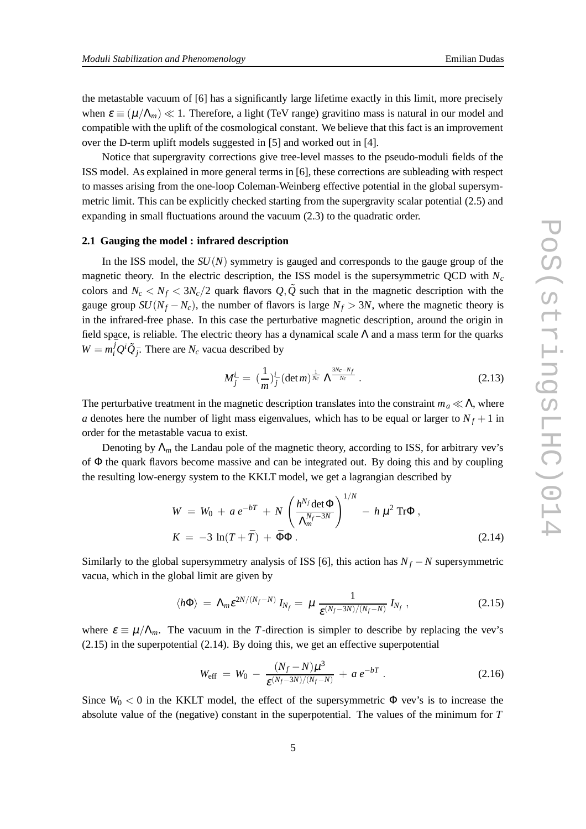the metastable vacuum of [6] has a significantly large lifetime exactly in this limit, more precisely when  $\varepsilon \equiv (\mu/\Lambda_m) \ll 1$ . Therefore, a light (TeV range) gravitino mass is natural in our model and compatible with the uplift of the cosmological constant. We believe that this fact is an improvement over the D-term uplift models suggested in [5] and worked out in [4].

Notice that supergravity corrections give tree-level masses to the pseudo-moduli fields of the ISS model. As explained in more general terms in [6], these corrections are subleading with respect to masses arising from the one-loop Coleman-Weinberg effective potential in the global supersymmetric limit. This can be explicitly checked starting from the supergravity scalar potential (2.5) and expanding in small fluctuations around the vacuum (2.3) to the quadratic order.

### **2.1 Gauging the model : infrared description**

In the ISS model, the  $SU(N)$  symmetry is gauged and corresponds to the gauge group of the magnetic theory. In the electric description, the ISS model is the supersymmetric QCD with *N<sup>c</sup>* colors and  $N_c < N_f < 3N_c/2$  quark flavors  $Q, \tilde{Q}$  such that in the magnetic description with the gauge group  $SU(N_f - N_c)$ , the number of flavors is large  $N_f > 3N$ , where the magnetic theory is in the infrared-free phase. In this case the perturbative magnetic description, around the origin in field space, is reliable. The electric theory has a dynamical scale  $\Lambda$  and a mass term for the quarks  $W = m_i^{\bar{j}} Q^i \tilde{Q}_{\bar{j}}$ . There are  $N_c$  vacua described by

$$
M_{\bar{j}}^{i} = \left(\frac{1}{m}\right)^{i}_{\bar{j}} \left(\det m\right)^{\frac{1}{N_c}} \Lambda^{\frac{3N_c - N_f}{N_c}} \,. \tag{2.13}
$$

The perturbative treatment in the magnetic description translates into the constraint  $m_a \ll \Lambda$ , where *a* denotes here the number of light mass eigenvalues, which has to be equal or larger to  $N_f + 1$  in order for the metastable vacua to exist.

Denoting by  $\Lambda_m$  the Landau pole of the magnetic theory, according to ISS, for arbitrary vev's of Φ the quark flavors become massive and can be integrated out. By doing this and by coupling the resulting low-energy system to the KKLT model, we get a lagrangian described by

$$
W = W_0 + a e^{-bT} + N \left( \frac{h^{N_f} \det \Phi}{\Lambda_m^{N_f - 3N}} \right)^{1/N} - h \mu^2 \operatorname{Tr} \Phi,
$$
  

$$
K = -3 \ln(T + \bar{T}) + \bar{\Phi} \Phi.
$$
 (2.14)

Similarly to the global supersymmetry analysis of ISS [6], this action has  $N_f - N$  supersymmetric vacua, which in the global limit are given by

$$
\langle h\Phi \rangle = \Lambda_m \varepsilon^{2N/(N_f-N)} I_{N_f} = \mu \frac{1}{\varepsilon^{(N_f-3N)/(N_f-N)}} I_{N_f}, \qquad (2.15)
$$

where  $\varepsilon \equiv \mu / \Lambda_m$ . The vacuum in the *T*-direction is simpler to describe by replacing the vev's (2.15) in the superpotential (2.14). By doing this, we get an effective superpotential

$$
W_{\text{eff}} = W_0 - \frac{(N_f - N)\mu^3}{\varepsilon^{(N_f - 3N)/(N_f - N)}} + a e^{-bT} . \qquad (2.16)
$$

Since  $W_0 < 0$  in the KKLT model, the effect of the supersymmetric  $\Phi$  vev's is to increase the absolute value of the (negative) constant in the superpotential. The values of the minimum for *T*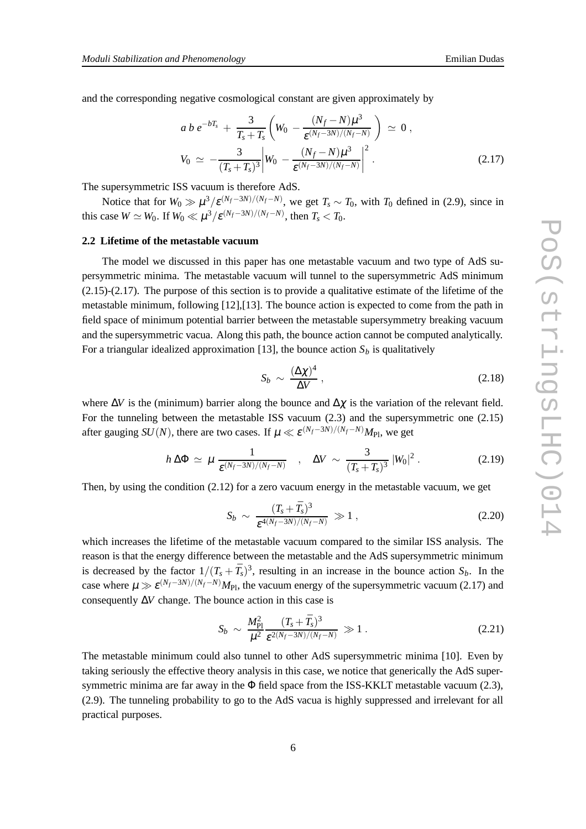and the corresponding negative cosmological constant are given approximately by

$$
a b e^{-bT_s} + \frac{3}{T_s + \bar{T}_s} \left( W_0 - \frac{(N_f - N)\mu^3}{\varepsilon^{(N_f - 3N)/(N_f - N)}} \right) \simeq 0,
$$
  

$$
V_0 \simeq -\frac{3}{(T_s + \bar{T}_s)^3} \left| W_0 - \frac{(N_f - N)\mu^3}{\varepsilon^{(N_f - 3N)/(N_f - N)}} \right|^2.
$$
 (2.17)

The supersymmetric ISS vacuum is therefore AdS.

Notice that for  $W_0 \gg \mu^3 / \varepsilon^{(N_f - 3N)/(N_f - N)}$ , we get  $T_s \sim T_0$ , with  $T_0$  defined in (2.9), since in this case  $W \simeq W_0$ . If  $W_0 \ll \mu^3 / \varepsilon^{(N_f - 3N)/(N_f - N)}$ , then  $T_s < T_0$ .

### **2.2 Lifetime of the metastable vacuum**

The model we discussed in this paper has one metastable vacuum and two type of AdS supersymmetric minima. The metastable vacuum will tunnel to the supersymmetric AdS minimum  $(2.15)-(2.17)$ . The purpose of this section is to provide a qualitative estimate of the lifetime of the metastable minimum, following [12],[13]. The bounce action is expected to come from the path in field space of minimum potential barrier between the metastable supersymmetry breaking vacuum and the supersymmetric vacua. Along this path, the bounce action cannot be computed analytically. For a triangular idealized approximation [13], the bounce action  $S_b$  is qualitatively

$$
S_b \sim \frac{(\Delta \chi)^4}{\Delta V} \,, \tag{2.18}
$$

where  $\Delta V$  is the (minimum) barrier along the bounce and  $\Delta \chi$  is the variation of the relevant field. For the tunneling between the metastable ISS vacuum (2.3) and the supersymmetric one (2.15) after gauging  $SU(N)$ , there are two cases. If  $\mu \ll \varepsilon^{(N_f-3N)/(N_f-N)}M_{\text{Pl}}$ , we get

$$
h\,\Delta\Phi\,\simeq\,\mu\,\frac{1}{\varepsilon^{(N_f-3N)/(N_f-N)}}\quad,\quad\Delta V\,\sim\,\frac{3}{(T_s+\bar{T}_s)^3}\,\left|W_0\right|^2.\tag{2.19}
$$

Then, by using the condition (2.12) for a zero vacuum energy in the metastable vacuum, we get

$$
S_b \sim \frac{(T_s + \bar{T}_s)^3}{\varepsilon^{4(N_f - 3N)/(N_f - N)}} \gg 1 , \qquad (2.20)
$$

which increases the lifetime of the metastable vacuum compared to the similar ISS analysis. The reason is that the energy difference between the metastable and the AdS supersymmetric minimum is decreased by the factor  $1/(T_s + \bar{T}_s)^3$ , resulting in an increase in the bounce action  $S_b$ . In the case where  $\mu \gg \varepsilon^{(N_f-3N)/(N_f-N)} M_{\text{Pl}}$ , the vacuum energy of the supersymmetric vacuum (2.17) and consequently ∆*V* change. The bounce action in this case is

$$
S_b \sim \frac{M_{\rm Pl}^2}{\mu^2} \frac{(T_s + \bar{T}_s)^3}{\varepsilon^{2(N_f - 3N)/(N_f - N)}} \gg 1. \tag{2.21}
$$

The metastable minimum could also tunnel to other AdS supersymmetric minima [10]. Even by taking seriously the effective theory analysis in this case, we notice that generically the AdS supersymmetric minima are far away in the  $\Phi$  field space from the ISS-KKLT metastable vacuum (2.3), (2.9). The tunneling probability to go to the AdS vacua is highly suppressed and irrelevant for all practical purposes.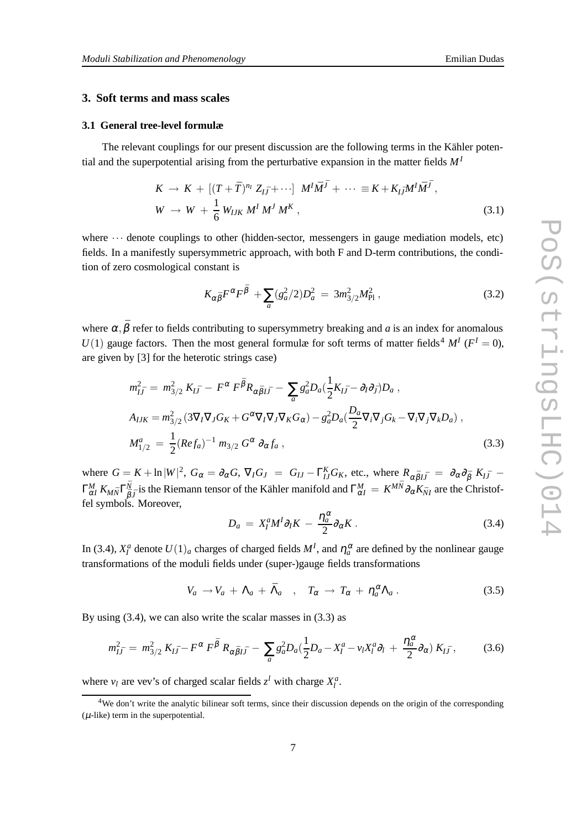### **3. Soft terms and mass scales**

### **3.1 General tree-level formulæ**

The relevant couplings for our present discussion are the following terms in the Kähler potential and the superpotential arising from the perturbative expansion in the matter fields *M<sup>I</sup>*

$$
K \to K + [(T + \bar{T})^{n_I} Z_{I\bar{J}} + \cdots] M^I \bar{M}^{\bar{J}} + \cdots \equiv K + K_{I\bar{J}} M^I \bar{M}^{\bar{J}},
$$
  
\n
$$
W \to W + \frac{1}{6} W_{IJK} M^I M^J M^K,
$$
\n(3.1)

where  $\cdots$  denote couplings to other (hidden-sector, messengers in gauge mediation models, etc) fields. In a manifestly supersymmetric approach, with both F and D-term contributions, the condition of zero cosmological constant is

$$
K_{\alpha\bar{\beta}}F^{\alpha}F^{\bar{\beta}} + \sum_{a} (g_a^2/2)D_a^2 = 3m_{3/2}^2M_{\rm Pl}^2,
$$
 (3.2)

where  $\alpha$ ,  $\bar{\beta}$  refer to fields contributing to supersymmetry breaking and *a* is an index for anomalous  $U(1)$  gauge factors. Then the most general formulæ for soft terms of matter fields<sup>4</sup>  $M<sup>I</sup>$  ( $F<sup>I</sup> = 0$ ), are given by [3] for the heterotic strings case)

$$
m_{I\bar{J}}^2 = m_{3/2}^2 K_{I\bar{J}} - F^{\alpha} F^{\bar{\beta}} R_{\alpha \bar{\beta} I\bar{J}} - \sum_a g_a^2 D_a (\frac{1}{2} K_{I\bar{J}} - \partial_I \partial_{\bar{J}}) D_a ,
$$
  
\n
$$
A_{IJK} = m_{3/2}^2 (3 \nabla_I \nabla_J G_K + G^{\alpha} \nabla_I \nabla_J \nabla_K G_{\alpha}) - g_a^2 D_a (\frac{D_a}{2} \nabla_I \nabla_J G_k - \nabla_I \nabla_J \nabla_k D_a) ,
$$
  
\n
$$
M_{1/2}^a = \frac{1}{2} (Re f_a)^{-1} m_{3/2} G^{\alpha} \partial_{\alpha} f_a ,
$$
\n(3.3)

where  $G = K + \ln|W|^2$ ,  $G_{\alpha} = \partial_{\alpha}G$ ,  $\nabla_{I}G_{J} = G_{IJ} - \Gamma_{IJ}^{K}G_{K}$ , etc., where  $R_{\alpha\bar{\beta}I\bar{J}} = \partial_{\alpha}\partial_{\bar{\beta}}K_{I\bar{J}} \Gamma^M_{\alpha I}\, K_{M{\bar N}} \Gamma^{\bar N}_{\bar \beta_M}$  $\frac{\bar{N}}{\bar{\beta}J}$  is the Riemann tensor of the Kähler manifold and  $\Gamma^M_{\alpha I} = K^{M\bar{N}}\partial_\alpha K_{\bar{N}I}$  are the Christoffel symbols. Moreover,

$$
D_a = X_I^a M^I \partial_I K - \frac{\eta_a^{\alpha}}{2} \partial_{\alpha} K \,. \tag{3.4}
$$

In (3.4),  $X_I^a$  denote  $U(1)_a$  charges of charged fields  $M^I$ , and  $\eta_a^{\alpha}$  are defined by the nonlinear gauge transformations of the moduli fields under (super-)gauge fields transformations

$$
V_a \to V_a + \Lambda_a + \bar{\Lambda}_a , \quad T_\alpha \to T_\alpha + \eta_a^\alpha \Lambda_a . \tag{3.5}
$$

By using (3.4), we can also write the scalar masses in (3.3) as

$$
m_{I\bar{J}}^2 = m_{3/2}^2 K_{I\bar{J}} - F^{\alpha} F^{\bar{\beta}} R_{\alpha \bar{\beta} I\bar{J}} - \sum_a g_a^2 D_a (\frac{1}{2} D_a - X_I^a - v_I X_I^a \partial_l + \frac{\eta_a^{\alpha}}{2} \partial_{\alpha}) K_{I\bar{J}} ,
$$
 (3.6)

where  $v_l$  are vev's of charged scalar fields  $z^l$  with charge  $X_l^a$ .

<sup>&</sup>lt;sup>4</sup>We don't write the analytic bilinear soft terms, since their discussion depends on the origin of the corresponding  $(\mu$ -like) term in the superpotential.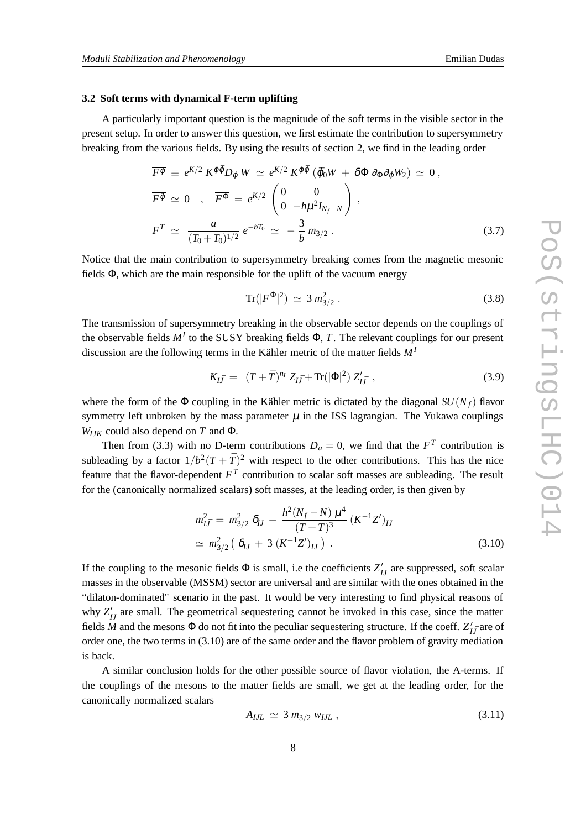### **3.2 Soft terms with dynamical F-term uplifting**

A particularly important question is the magnitude of the soft terms in the visible sector in the present setup. In order to answer this question, we first estimate the contribution to supersymmetry breaking from the various fields. By using the results of section 2, we find in the leading order

$$
\overline{F^{\varphi}} \equiv e^{K/2} K^{\varphi \bar{\varphi}} D_{\varphi} W \simeq e^{K/2} K^{\varphi \bar{\varphi}} (\bar{\varphi}_0 W + \delta \Phi \partial_{\Phi} \partial_{\varphi} W_2) \simeq 0 ,
$$
  

$$
\overline{F^{\varphi}} \simeq 0 , \quad \overline{F^{\Phi}} = e^{K/2} \begin{pmatrix} 0 & 0 \\ 0 & -h \mu^2 I_{N_f - N} \end{pmatrix} ,
$$
  

$$
F^T \simeq \frac{a}{(T_0 + \bar{T}_0)^{1/2}} e^{-bT_0} \simeq -\frac{3}{b} m_{3/2} .
$$
 (3.7)

Notice that the main contribution to supersymmetry breaking comes from the magnetic mesonic fields Φ, which are the main responsible for the uplift of the vacuum energy

$$
\text{Tr}(|F^{\Phi}|^2) \simeq 3 m_{3/2}^2 \,. \tag{3.8}
$$

The transmission of supersymmetry breaking in the observable sector depends on the couplings of the observable fields  $M<sup>I</sup>$  to the SUSY breaking fields  $\Phi$ , *T*. The relevant couplings for our present discussion are the following terms in the Kähler metric of the matter fields *M<sup>I</sup>*

$$
K_{I\bar{J}} = (T + \bar{T})^{n_I} Z_{I\bar{J}} + \text{Tr}(|\Phi|^2) Z'_{I\bar{J}} , \qquad (3.9)
$$

where the form of the  $\Phi$  coupling in the Kähler metric is dictated by the diagonal *SU*( $N_f$ ) flavor symmetry left unbroken by the mass parameter  $\mu$  in the ISS lagrangian. The Yukawa couplings  $W_{IJK}$  could also depend on *T* and  $\Phi$ .

Then from (3.3) with no D-term contributions  $D_a = 0$ , we find that the  $F<sup>T</sup>$  contribution is subleading by a factor  $1/b^2(T+\bar{T})^2$  with respect to the other contributions. This has the nice feature that the flavor-dependent  $F<sup>T</sup>$  contribution to scalar soft masses are subleading. The result for the (canonically normalized scalars) soft masses, at the leading order, is then given by

$$
m_{I\bar{J}}^2 = m_{3/2}^2 \, \delta_{I\bar{J}} + \frac{h^2 (N_f - N) \, \mu^4}{(T + \bar{T})^3} \, (K^{-1} Z')_{I\bar{J}} \n\approx m_{3/2}^2 \left( \delta_{I\bar{J}} + 3 \, (K^{-1} Z')_{I\bar{J}} \right) .
$$
\n(3.10)

If the coupling to the mesonic fields  $\Phi$  is small, i.e the coefficients  $Z'_{I\bar{J}}$  are suppressed, soft scalar masses in the observable (MSSM) sector are universal and are similar with the ones obtained in the "dilaton-dominated" scenario in the past. It would be very interesting to find physical reasons of why  $Z'_{I\bar{J}}$  are small. The geometrical sequestering cannot be invoked in this case, since the matter fields *M* and the mesons  $\Phi$  do not fit into the peculiar sequestering structure. If the coeff.  $Z'_{I\bar{J}}$  are of order one, the two terms in (3.10) are of the same order and the flavor problem of gravity mediation is back.

A similar conclusion holds for the other possible source of flavor violation, the A-terms. If the couplings of the mesons to the matter fields are small, we get at the leading order, for the canonically normalized scalars

$$
A_{I J L} \simeq 3 \, m_{3/2} \, w_{I J L} \,, \tag{3.11}
$$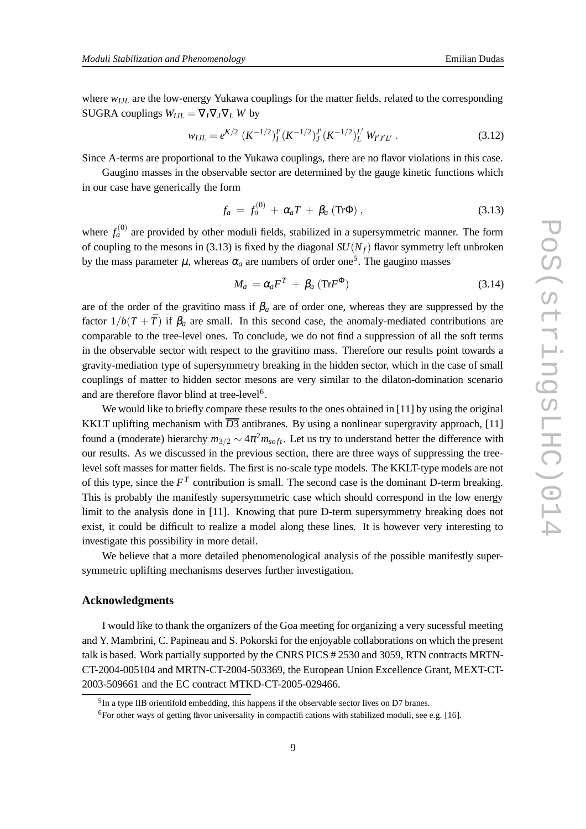where  $w_{III}$  are the low-energy Yukawa couplings for the matter fields, related to the corresponding SUGRA couplings  $W_{III} = \nabla_I \nabla_I \nabla_I W$  by

$$
w_{I J L} = e^{K/2} \left( K^{-1/2} \right)_{I}^{I'} \left( K^{-1/2} \right)_{J}^{J'} \left( K^{-1/2} \right)_{L}^{L'} \left( W_{I' J' L'} \right) \tag{3.12}
$$

Since A-terms are proportional to the Yukawa couplings, there are no flavor violations in this case.

Gaugino masses in the observable sector are determined by the gauge kinetic functions which in our case have generically the form

$$
f_a = f_a^{(0)} + \alpha_a T + \beta_a \left( \text{Tr} \Phi \right), \qquad (3.13)
$$

where  $f_a^{(0)}$  are provided by other moduli fields, stabilized in a supersymmetric manner. The form of coupling to the mesons in (3.13) is fixed by the diagonal  $SU(N_f)$  flavor symmetry left unbroken by the mass parameter  $\mu$ , whereas  $\alpha_a$  are numbers of order one<sup>5</sup>. The gaugino masses

$$
M_a = \alpha_a F^T + \beta_a \left( \text{Tr} F^{\Phi} \right) \tag{3.14}
$$

are of the order of the gravitino mass if  $\beta_a$  are of order one, whereas they are suppressed by the factor  $1/b(T + \overline{T})$  if  $\beta_a$  are small. In this second case, the anomaly-mediated contributions are comparable to the tree-level ones. To conclude, we do not find a suppression of all the soft terms in the observable sector with respect to the gravitino mass. Therefore our results point towards a gravity-mediation type of supersymmetry breaking in the hidden sector, which in the case of small couplings of matter to hidden sector mesons are very similar to the dilaton-domination scenario and are therefore flavor blind at tree-level<sup>6</sup>.

We would like to briefly compare these results to the ones obtained in [11] by using the original KKLT uplifting mechanism with  $\overline{D3}$  antibranes. By using a nonlinear supergravity approach, [11] found a (moderate) hierarchy  $m_{3/2} \sim 4\pi^2 m_{soft}$ . Let us try to understand better the difference with our results. As we discussed in the previous section, there are three ways of suppressing the treelevel soft masses for matter fields. The first is no-scale type models. The KKLT-type models are not of this type, since the  $F<sup>T</sup>$  contribution is small. The second case is the dominant D-term breaking. This is probably the manifestly supersymmetric case which should correspond in the low energy limit to the analysis done in [11]. Knowing that pure D-term supersymmetry breaking does not exist, it could be difficult to realize a model along these lines. It is however very interesting to investigate this possibility in more detail.

We believe that a more detailed phenomenological analysis of the possible manifestly supersymmetric uplifting mechanisms deserves further investigation.

### **Acknowledgments**

I would like to thank the organizers of the Goa meeting for organizing a very sucessful meeting and Y. Mambrini, C. Papineau and S. Pokorski for the enjoyable collaborations on which the present talk is based. Work partially supported by the CNRS PICS # 2530 and 3059, RTN contracts MRTN-CT-2004-005104 and MRTN-CT-2004-503369, the European Union Excellence Grant, MEXT-CT-2003-509661 and the EC contract MTKD-CT-2005-029466.

<sup>&</sup>lt;sup>5</sup>In a type IIB orientifold embedding, this happens if the observable sector lives on D7 branes.

<sup>6</sup>For other ways of getting flavor universality in compactifications with stabilized moduli, see e.g. [16].